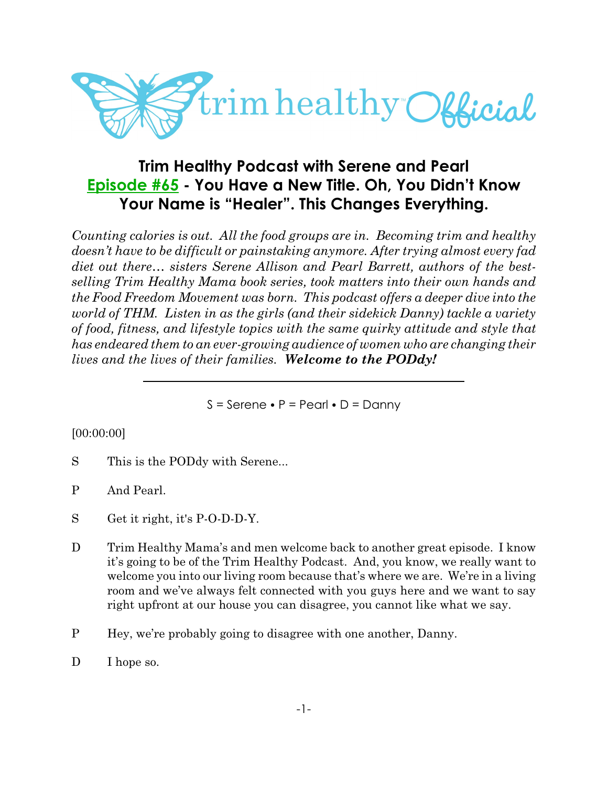

# **Trim Healthy Podcast with Serene and Pearl [Episode #65](https://cms.megaphone.fm/channel/trimhealthypodcast?selected=ADL5424389366) - You Have a New Title. Oh, You Didn't Know Your Name is "Healer". This Changes Everything.**

*Counting calories is out. All the food groups are in. Becoming trim and healthy doesn't have to be difficult or painstaking anymore. After trying almost every fad diet out there… sisters Serene Allison and Pearl Barrett, authors of the bestselling Trim Healthy Mama book series, took matters into their own hands and the Food Freedom Movement was born. This podcast offers a deeper dive into the world of THM. Listen in as the girls (and their sidekick Danny) tackle a variety of food, fitness, and lifestyle topics with the same quirky attitude and style that has endeared them to an ever-growing audience of women who are changing their lives and the lives of their families. Welcome to the PODdy!*

 $S =$  Serene  $\bullet$  P = Pearl  $\bullet$  D = Danny

#### [00:00:00]

- S This is the PODdy with Serene...
- P And Pearl.
- S Get it right, it's P-O-D-D-Y.
- D Trim Healthy Mama's and men welcome back to another great episode. I know it's going to be of the Trim Healthy Podcast. And, you know, we really want to welcome you into our living room because that's where we are. We're in a living room and we've always felt connected with you guys here and we want to say right upfront at our house you can disagree, you cannot like what we say.
- P Hey, we're probably going to disagree with one another, Danny.
- D I hope so.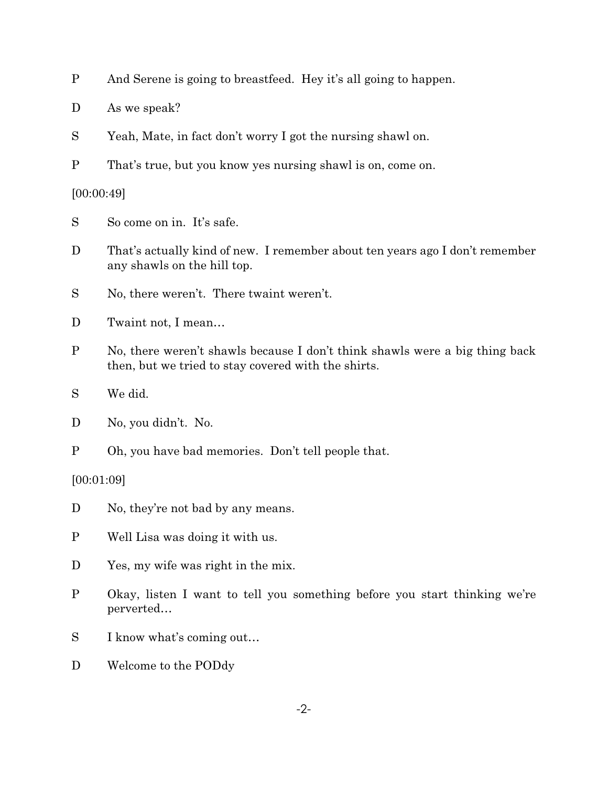D As we speak?

S Yeah, Mate, in fact don't worry I got the nursing shawl on.

P That's true, but you know yes nursing shawl is on, come on.

[00:00:49]

S So come on in. It's safe.

D That's actually kind of new. I remember about ten years ago I don't remember any shawls on the hill top.

S No, there weren't. There twaint weren't.

- D Twaint not, I mean...
- P No, there weren't shawls because I don't think shawls were a big thing back then, but we tried to stay covered with the shirts.

S We did.

P Oh, you have bad memories. Don't tell people that.

[00:01:09]

- D No, they're not bad by any means.
- P Well Lisa was doing it with us.
- D Yes, my wife was right in the mix.
- P Okay, listen I want to tell you something before you start thinking we're perverted…
- S I know what's coming out…
- D Welcome to the PODdy

D No, you didn't. No.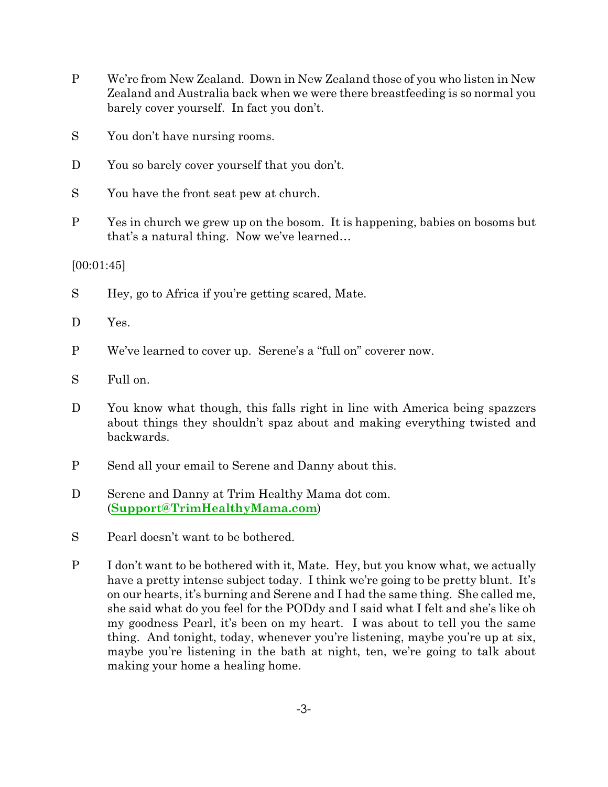- P We're from New Zealand. Down in New Zealand those of you who listen in New Zealand and Australia back when we were there breastfeeding is so normal you barely cover yourself. In fact you don't.
- S You don't have nursing rooms.
- D You so barely cover yourself that you don't.
- S You have the front seat pew at church.
- P Yes in church we grew up on the bosom. It is happening, babies on bosoms but that's a natural thing. Now we've learned…

[00:01:45]

S Hey, go to Africa if you're getting scared, Mate.

D Yes.

- P We've learned to cover up. Serene's a "full on" coverer now.
- S Full on.
- D You know what though, this falls right in line with America being spazzers about things they shouldn't spaz about and making everything twisted and backwards.
- P Send all your email to Serene and Danny about this.
- D Serene and Danny at Trim Healthy Mama dot com. (**[Support@TrimHealthyMama.com](file:///|//support@TrimHealthyMama.com)**)
- S Pearl doesn't want to be bothered.
- P I don't want to be bothered with it, Mate. Hey, but you know what, we actually have a pretty intense subject today. I think we're going to be pretty blunt. It's on our hearts, it's burning and Serene and I had the same thing. She called me, she said what do you feel for the PODdy and I said what I felt and she's like oh my goodness Pearl, it's been on my heart. I was about to tell you the same thing. And tonight, today, whenever you're listening, maybe you're up at six, maybe you're listening in the bath at night, ten, we're going to talk about making your home a healing home.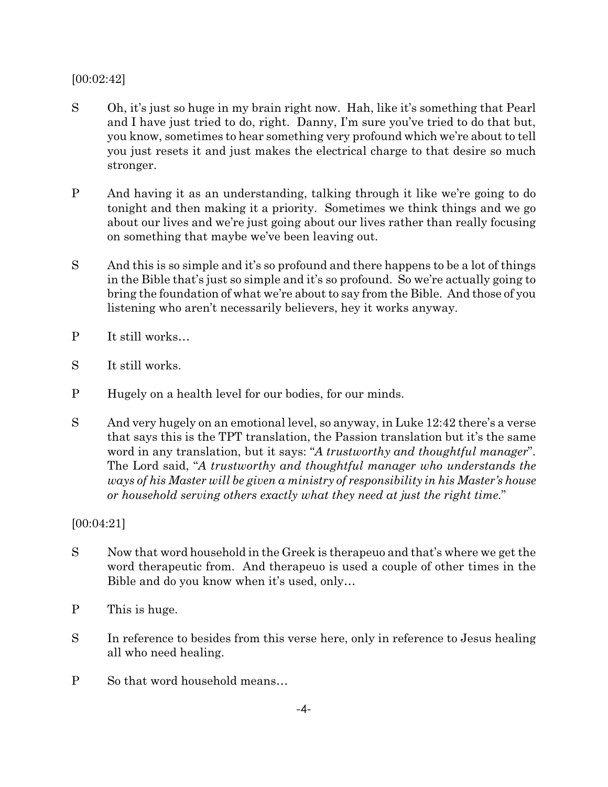#### [00:02:42]

- S Oh, it's just so huge in my brain right now. Hah, like it's something that Pearl and I have just tried to do, right. Danny, I'm sure you've tried to do that but, you know, sometimes to hear something very profound which we're about to tell you just resets it and just makes the electrical charge to that desire so much stronger.
- P And having it as an understanding, talking through it like we're going to do tonight and then making it a priority. Sometimes we think things and we go about our lives and we're just going about our lives rather than really focusing on something that maybe we've been leaving out.
- S And this is so simple and it's so profound and there happens to be a lot of things in the Bible that's just so simple and it's so profound. So we're actually going to bring the foundation of what we're about to say from the Bible. And those of you listening who aren't necessarily believers, hey it works anyway.
- P It still works…
- S It still works.
- P Hugely on a health level for our bodies, for our minds.
- S And very hugely on an emotional level, so anyway, in Luke 12:42 there's a verse that says this is the TPT translation, the Passion translation but it's the same word in any translation, but it says: "*A trustworthy and thoughtful manager*". The Lord said, "*A trustworthy and thoughtful manager who understands the ways of his Master will be given a ministry of responsibility in his Master's house or household serving others exactly what they need at just the right time.*"

[00:04:21]

- S Now that word household in the Greek is therapeuo and that's where we get the word therapeutic from. And therapeuo is used a couple of other times in the Bible and do you know when it's used, only…
- P This is huge.
- S In reference to besides from this verse here, only in reference to Jesus healing all who need healing.
- P So that word household means…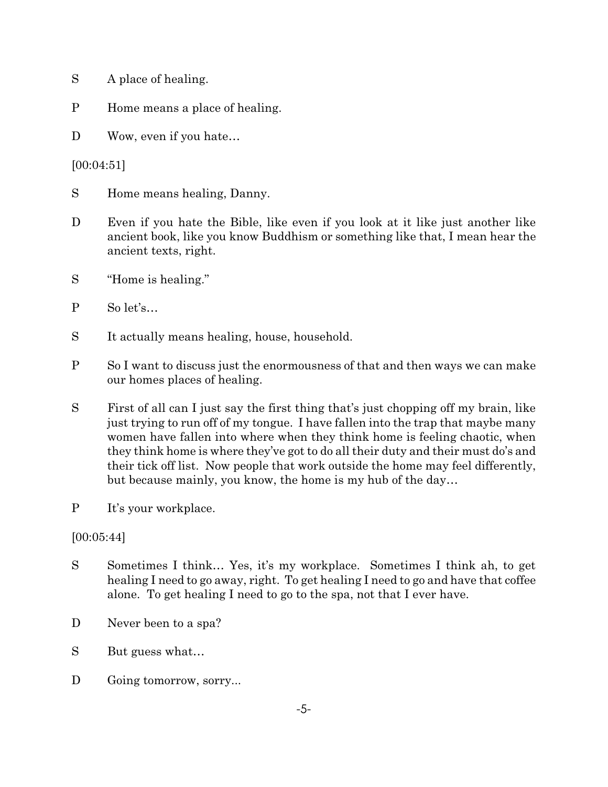- S A place of healing.
- P Home means a place of healing.
- D Wow, even if you hate...

[00:04:51]

- S Home means healing, Danny.
- D Even if you hate the Bible, like even if you look at it like just another like ancient book, like you know Buddhism or something like that, I mean hear the ancient texts, right.
- S "Home is healing."
- P So let's…
- S It actually means healing, house, household.
- P So I want to discuss just the enormousness of that and then ways we can make our homes places of healing.
- S First of all can I just say the first thing that's just chopping off my brain, like just trying to run off of my tongue. I have fallen into the trap that maybe many women have fallen into where when they think home is feeling chaotic, when they think home is where they've got to do all their duty and their must do's and their tick off list. Now people that work outside the home may feel differently, but because mainly, you know, the home is my hub of the day…
- P It's your workplace.

## [00:05:44]

- S Sometimes I think… Yes, it's my workplace. Sometimes I think ah, to get healing I need to go away, right. To get healing I need to go and have that coffee alone. To get healing I need to go to the spa, not that I ever have.
- D Never been to a spa?
- S But guess what...
- D Going tomorrow, sorry...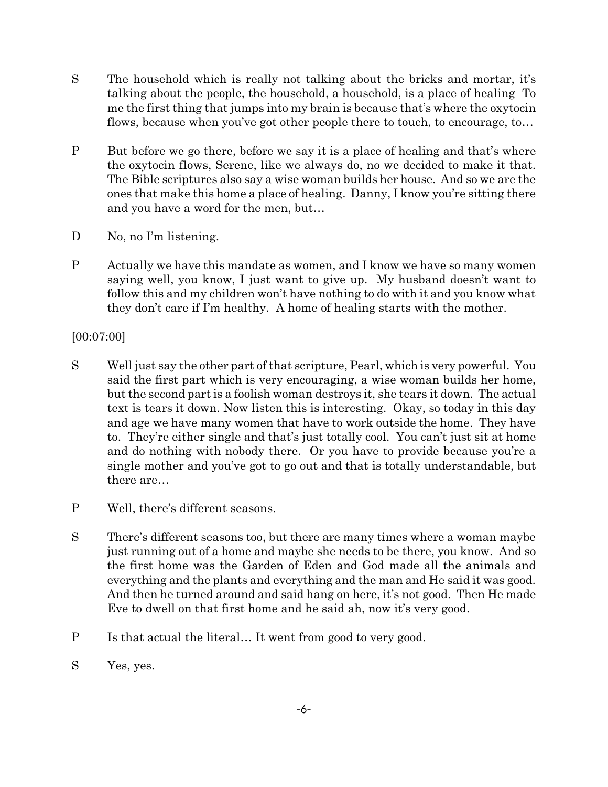- S The household which is really not talking about the bricks and mortar, it's talking about the people, the household, a household, is a place of healing To me the first thing that jumps into my brain is because that's where the oxytocin flows, because when you've got other people there to touch, to encourage, to…
- P But before we go there, before we say it is a place of healing and that's where the oxytocin flows, Serene, like we always do, no we decided to make it that. The Bible scriptures also say a wise woman builds her house. And so we are the ones that make this home a place of healing. Danny, I know you're sitting there and you have a word for the men, but…
- D No, no I'm listening.
- P Actually we have this mandate as women, and I know we have so many women saying well, you know, I just want to give up. My husband doesn't want to follow this and my children won't have nothing to do with it and you know what they don't care if I'm healthy. A home of healing starts with the mother.

[00:07:00]

- S Well just say the other part of that scripture, Pearl, which is very powerful. You said the first part which is very encouraging, a wise woman builds her home, but the second part is a foolish woman destroys it, she tears it down. The actual text is tears it down. Now listen this is interesting. Okay, so today in this day and age we have many women that have to work outside the home. They have to. They're either single and that's just totally cool. You can't just sit at home and do nothing with nobody there. Or you have to provide because you're a single mother and you've got to go out and that is totally understandable, but there are…
- P Well, there's different seasons.
- S There's different seasons too, but there are many times where a woman maybe just running out of a home and maybe she needs to be there, you know. And so the first home was the Garden of Eden and God made all the animals and everything and the plants and everything and the man and He said it was good. And then he turned around and said hang on here, it's not good. Then He made Eve to dwell on that first home and he said ah, now it's very good.
- P Is that actual the literal… It went from good to very good.
- S Yes, yes.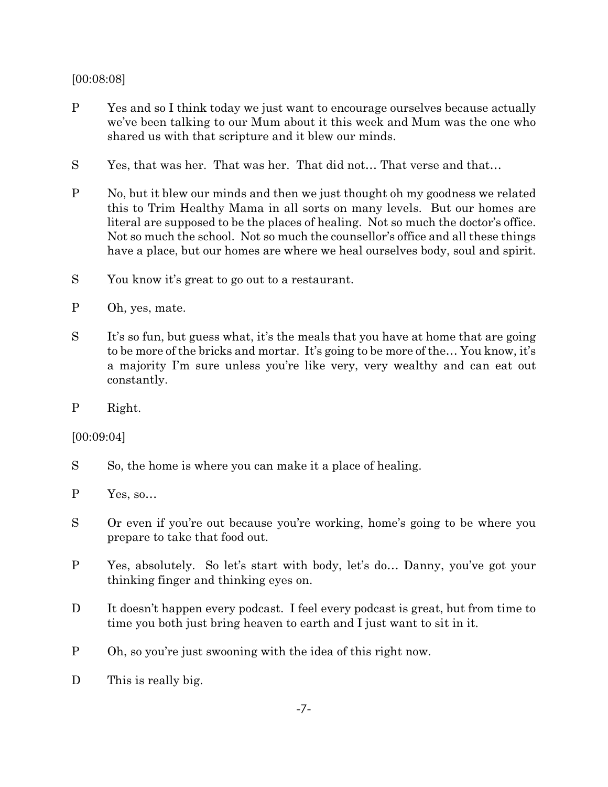## [00:08:08]

- P Yes and so I think today we just want to encourage ourselves because actually we've been talking to our Mum about it this week and Mum was the one who shared us with that scripture and it blew our minds.
- S Yes, that was her. That was her. That did not… That verse and that…
- P No, but it blew our minds and then we just thought oh my goodness we related this to Trim Healthy Mama in all sorts on many levels. But our homes are literal are supposed to be the places of healing. Not so much the doctor's office. Not so much the school. Not so much the counsellor's office and all these things have a place, but our homes are where we heal ourselves body, soul and spirit.
- S You know it's great to go out to a restaurant.
- P Oh, yes, mate.
- S It's so fun, but guess what, it's the meals that you have at home that are going to be more of the bricks and mortar. It's going to be more of the… You know, it's a majority I'm sure unless you're like very, very wealthy and can eat out constantly.
- P Right.

[00:09:04]

- S So, the home is where you can make it a place of healing.
- P Yes, so…
- S Or even if you're out because you're working, home's going to be where you prepare to take that food out.
- P Yes, absolutely. So let's start with body, let's do… Danny, you've got your thinking finger and thinking eyes on.
- D It doesn't happen every podcast. I feel every podcast is great, but from time to time you both just bring heaven to earth and I just want to sit in it.
- P Oh, so you're just swooning with the idea of this right now.
- D This is really big.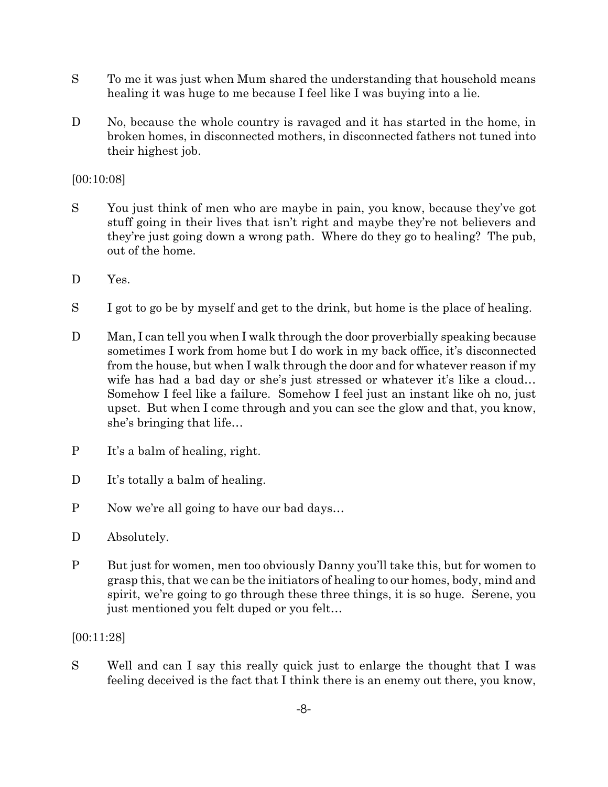- S To me it was just when Mum shared the understanding that household means healing it was huge to me because I feel like I was buying into a lie.
- D No, because the whole country is ravaged and it has started in the home, in broken homes, in disconnected mothers, in disconnected fathers not tuned into their highest job.

[00:10:08]

- S You just think of men who are maybe in pain, you know, because they've got stuff going in their lives that isn't right and maybe they're not believers and they're just going down a wrong path. Where do they go to healing? The pub, out of the home.
- D Yes.
- S I got to go be by myself and get to the drink, but home is the place of healing.
- D Man, I can tell you when I walk through the door proverbially speaking because sometimes I work from home but I do work in my back office, it's disconnected from the house, but when I walk through the door and for whatever reason if my wife has had a bad day or she's just stressed or whatever it's like a cloud… Somehow I feel like a failure. Somehow I feel just an instant like oh no, just upset. But when I come through and you can see the glow and that, you know, she's bringing that life…
- P It's a balm of healing, right.
- D It's totally a balm of healing.
- P Now we're all going to have our bad days…
- D Absolutely.
- P But just for women, men too obviously Danny you'll take this, but for women to grasp this, that we can be the initiators of healing to our homes, body, mind and spirit, we're going to go through these three things, it is so huge. Serene, you just mentioned you felt duped or you felt…

[00:11:28]

S Well and can I say this really quick just to enlarge the thought that I was feeling deceived is the fact that I think there is an enemy out there, you know,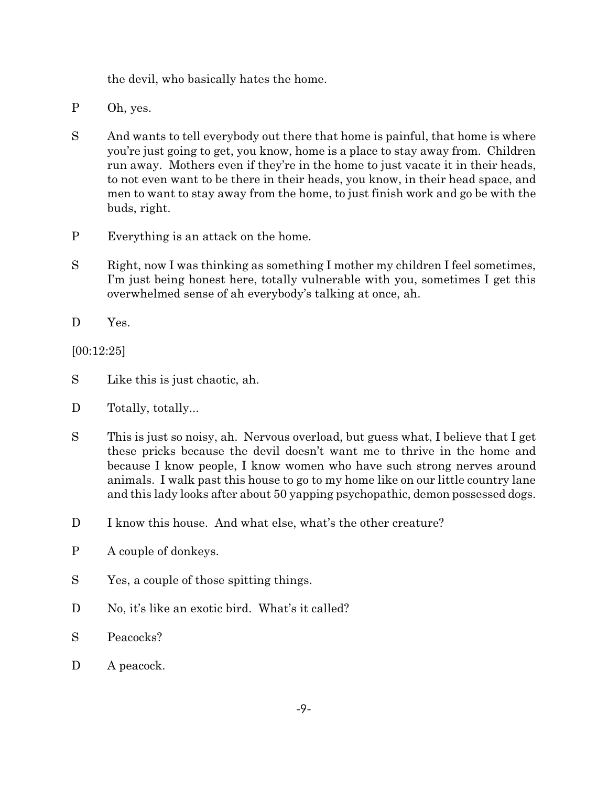the devil, who basically hates the home.

- P Oh, yes.
- S And wants to tell everybody out there that home is painful, that home is where you're just going to get, you know, home is a place to stay away from. Children run away. Mothers even if they're in the home to just vacate it in their heads, to not even want to be there in their heads, you know, in their head space, and men to want to stay away from the home, to just finish work and go be with the buds, right.
- P Everything is an attack on the home.
- S Right, now I was thinking as something I mother my children I feel sometimes, I'm just being honest here, totally vulnerable with you, sometimes I get this overwhelmed sense of ah everybody's talking at once, ah.
- D Yes.

[00:12:25]

- S Like this is just chaotic, ah.
- D Totally, totally...
- S This is just so noisy, ah. Nervous overload, but guess what, I believe that I get these pricks because the devil doesn't want me to thrive in the home and because I know people, I know women who have such strong nerves around animals. I walk past this house to go to my home like on our little country lane and this lady looks after about 50 yapping psychopathic, demon possessed dogs.
- D I know this house. And what else, what's the other creature?
- P A couple of donkeys.
- S Yes, a couple of those spitting things.
- D No, it's like an exotic bird. What's it called?
- S Peacocks?
- D A peacock.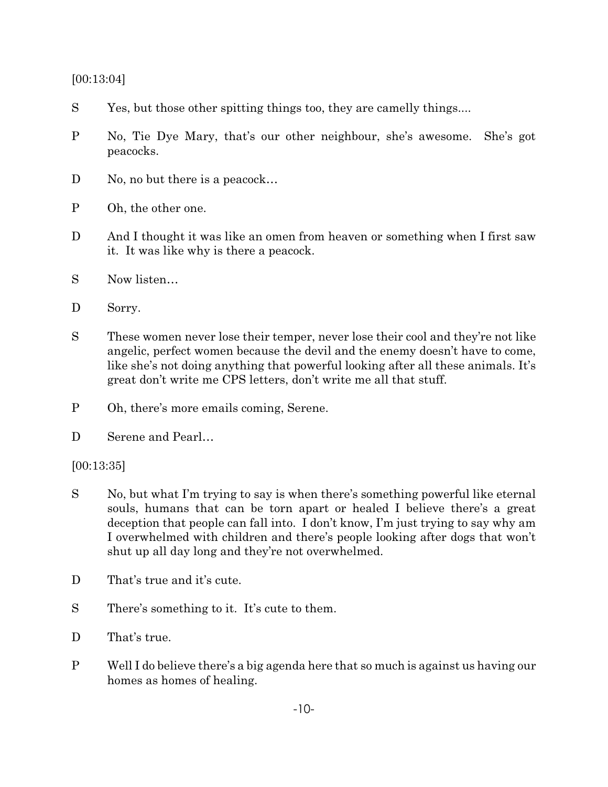[00:13:04]

- S Yes, but those other spitting things too, they are camelly things....
- P No, Tie Dye Mary, that's our other neighbour, she's awesome. She's got peacocks.
- D No, no but there is a peacock...
- P Oh, the other one.
- D And I thought it was like an omen from heaven or something when I first saw it. It was like why is there a peacock.
- S Now listen…
- D Sorry.
- S These women never lose their temper, never lose their cool and they're not like angelic, perfect women because the devil and the enemy doesn't have to come, like she's not doing anything that powerful looking after all these animals. It's great don't write me CPS letters, don't write me all that stuff.
- P Oh, there's more emails coming, Serene.
- D Serene and Pearl...

[00:13:35]

- S No, but what I'm trying to say is when there's something powerful like eternal souls, humans that can be torn apart or healed I believe there's a great deception that people can fall into. I don't know, I'm just trying to say why am I overwhelmed with children and there's people looking after dogs that won't shut up all day long and they're not overwhelmed.
- D That's true and it's cute.
- S There's something to it. It's cute to them.
- D That's true.
- P Well I do believe there's a big agenda here that so much is against us having our homes as homes of healing.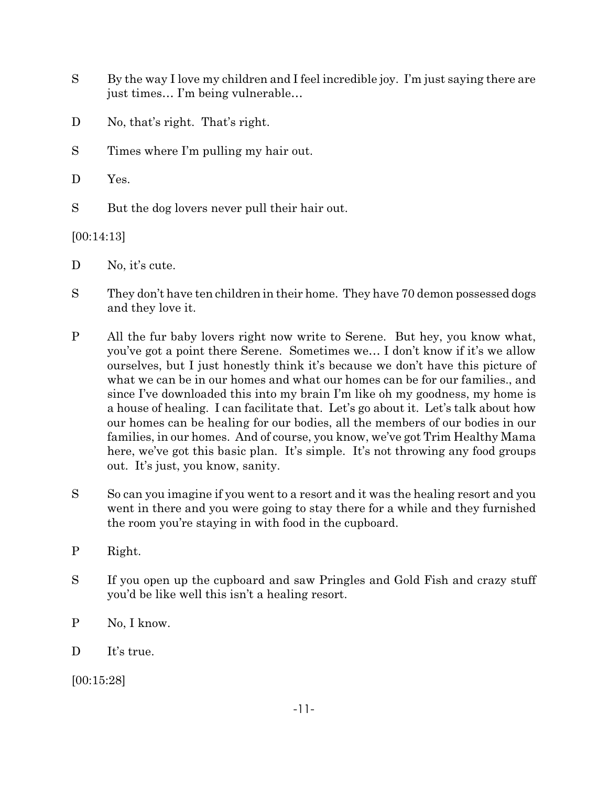- S By the way I love my children and I feel incredible joy. I'm just saying there are just times… I'm being vulnerable…
- D No, that's right. That's right.
- S Times where I'm pulling my hair out.
- D Yes.
- S But the dog lovers never pull their hair out.

[00:14:13]

- D No, it's cute.
- S They don't have ten children in their home. They have 70 demon possessed dogs and they love it.
- P All the fur baby lovers right now write to Serene. But hey, you know what, you've got a point there Serene. Sometimes we… I don't know if it's we allow ourselves, but I just honestly think it's because we don't have this picture of what we can be in our homes and what our homes can be for our families., and since I've downloaded this into my brain I'm like oh my goodness, my home is a house of healing. I can facilitate that. Let's go about it. Let's talk about how our homes can be healing for our bodies, all the members of our bodies in our families, in our homes. And of course, you know, we've got Trim Healthy Mama here, we've got this basic plan. It's simple. It's not throwing any food groups out. It's just, you know, sanity.
- S So can you imagine if you went to a resort and it was the healing resort and you went in there and you were going to stay there for a while and they furnished the room you're staying in with food in the cupboard.
- P Right.
- S If you open up the cupboard and saw Pringles and Gold Fish and crazy stuff you'd be like well this isn't a healing resort.
- P No, I know.
- D It's true.

[00:15:28]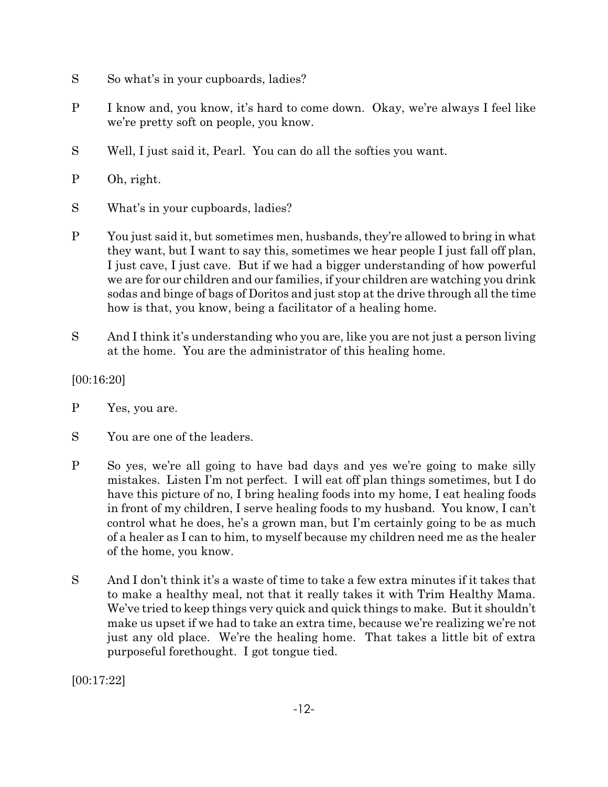- S So what's in your cupboards, ladies?
- P I know and, you know, it's hard to come down. Okay, we're always I feel like we're pretty soft on people, you know.
- S Well, I just said it, Pearl. You can do all the softies you want.
- P Oh, right.
- S What's in your cupboards, ladies?
- P You just said it, but sometimes men, husbands, they're allowed to bring in what they want, but I want to say this, sometimes we hear people I just fall off plan, I just cave, I just cave. But if we had a bigger understanding of how powerful we are for our children and our families, if your children are watching you drink sodas and binge of bags of Doritos and just stop at the drive through all the time how is that, you know, being a facilitator of a healing home.
- S And I think it's understanding who you are, like you are not just a person living at the home. You are the administrator of this healing home.

[00:16:20]

- P Yes, you are.
- S You are one of the leaders.
- P So yes, we're all going to have bad days and yes we're going to make silly mistakes. Listen I'm not perfect. I will eat off plan things sometimes, but I do have this picture of no, I bring healing foods into my home, I eat healing foods in front of my children, I serve healing foods to my husband. You know, I can't control what he does, he's a grown man, but I'm certainly going to be as much of a healer as I can to him, to myself because my children need me as the healer of the home, you know.
- S And I don't think it's a waste of time to take a few extra minutes if it takes that to make a healthy meal, not that it really takes it with Trim Healthy Mama. We've tried to keep things very quick and quick things to make. But it shouldn't make us upset if we had to take an extra time, because we're realizing we're not just any old place. We're the healing home. That takes a little bit of extra purposeful forethought. I got tongue tied.

[00:17:22]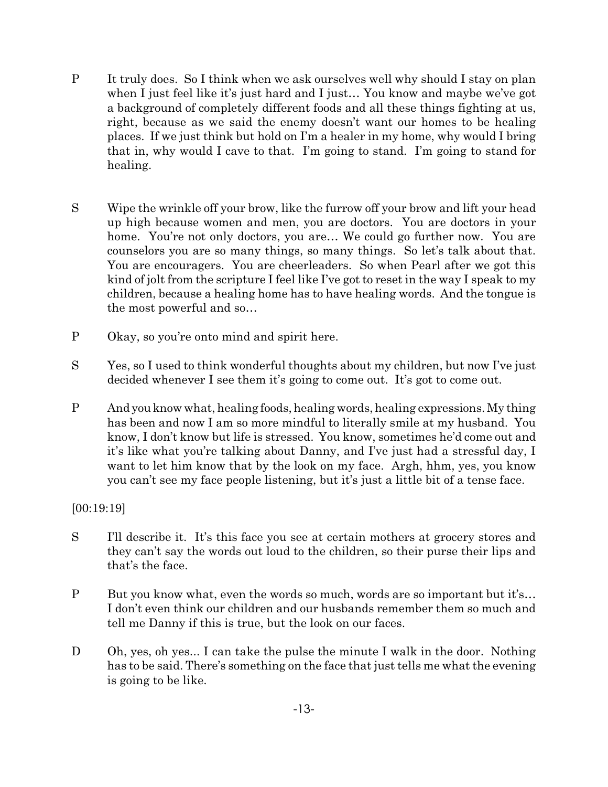- P It truly does. So I think when we ask ourselves well why should I stay on plan when I just feel like it's just hard and I just… You know and maybe we've got a background of completely different foods and all these things fighting at us, right, because as we said the enemy doesn't want our homes to be healing places. If we just think but hold on I'm a healer in my home, why would I bring that in, why would I cave to that. I'm going to stand. I'm going to stand for healing.
- S Wipe the wrinkle off your brow, like the furrow off your brow and lift your head up high because women and men, you are doctors. You are doctors in your home. You're not only doctors, you are... We could go further now. You are counselors you are so many things, so many things. So let's talk about that. You are encouragers. You are cheerleaders. So when Pearl after we got this kind of jolt from the scripture I feel like I've got to reset in the way I speak to my children, because a healing home has to have healing words. And the tongue is the most powerful and so…
- P Okay, so you're onto mind and spirit here.
- S Yes, so I used to think wonderful thoughts about my children, but now I've just decided whenever I see them it's going to come out. It's got to come out.
- P Andyouknow what, healing foods, healing words, healing expressions. My thing has been and now I am so more mindful to literally smile at my husband. You know, I don't know but life is stressed. You know, sometimes he'd come out and it's like what you're talking about Danny, and I've just had a stressful day, I want to let him know that by the look on my face. Argh, hhm, yes, you know you can't see my face people listening, but it's just a little bit of a tense face.

## [00:19:19]

- S I'll describe it. It's this face you see at certain mothers at grocery stores and they can't say the words out loud to the children, so their purse their lips and that's the face.
- P But you know what, even the words so much, words are so important but it's... I don't even think our children and our husbands remember them so much and tell me Danny if this is true, but the look on our faces.
- D Oh, yes, oh yes... I can take the pulse the minute I walk in the door. Nothing has to be said. There's something on the face that just tells me what the evening is going to be like.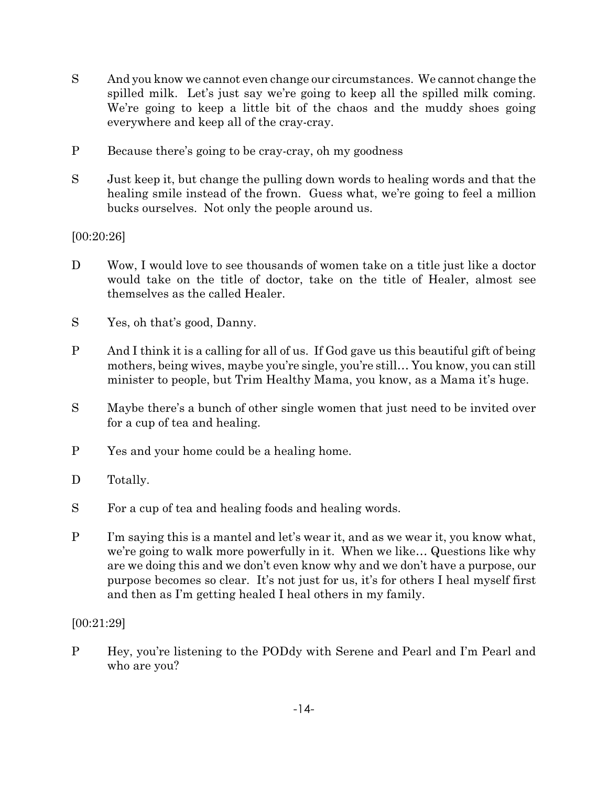- S And you know we cannot even change our circumstances. We cannot change the spilled milk. Let's just say we're going to keep all the spilled milk coming. We're going to keep a little bit of the chaos and the muddy shoes going everywhere and keep all of the cray-cray.
- P Because there's going to be cray-cray, oh my goodness
- S Just keep it, but change the pulling down words to healing words and that the healing smile instead of the frown. Guess what, we're going to feel a million bucks ourselves. Not only the people around us.

# [00:20:26]

- D Wow, I would love to see thousands of women take on a title just like a doctor would take on the title of doctor, take on the title of Healer, almost see themselves as the called Healer.
- S Yes, oh that's good, Danny.
- P And I think it is a calling for all of us. If God gave us this beautiful gift of being mothers, being wives, maybe you're single, you're still… You know, you can still minister to people, but Trim Healthy Mama, you know, as a Mama it's huge.
- S Maybe there's a bunch of other single women that just need to be invited over for a cup of tea and healing.
- P Yes and your home could be a healing home.
- D Totally.
- S For a cup of tea and healing foods and healing words.
- P I'm saying this is a mantel and let's wear it, and as we wear it, you know what, we're going to walk more powerfully in it. When we like… Questions like why are we doing this and we don't even know why and we don't have a purpose, our purpose becomes so clear. It's not just for us, it's for others I heal myself first and then as I'm getting healed I heal others in my family.

## [00:21:29]

P Hey, you're listening to the PODdy with Serene and Pearl and I'm Pearl and who are you?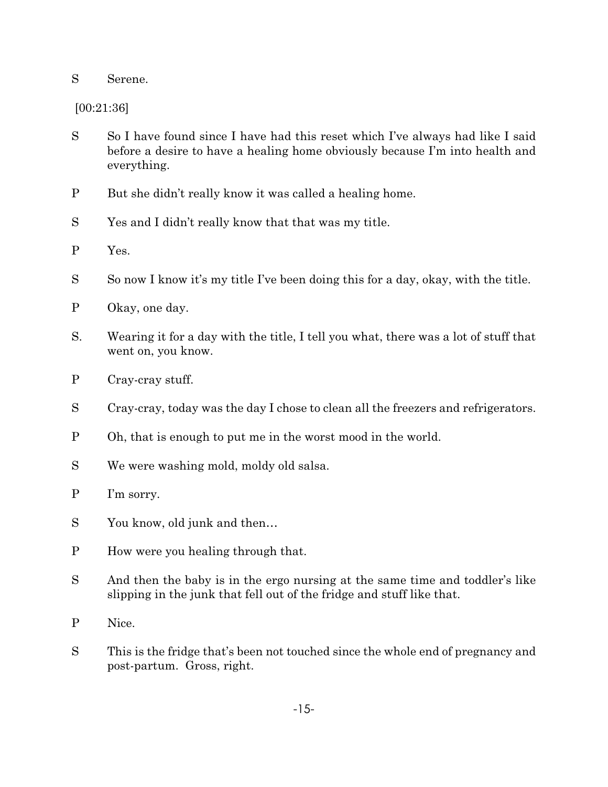#### S Serene.

[00:21:36]

- S So I have found since I have had this reset which I've always had like I said before a desire to have a healing home obviously because I'm into health and everything.
- P But she didn't really know it was called a healing home.
- S Yes and I didn't really know that that was my title.
- P Yes.
- S So now I know it's my title I've been doing this for a day, okay, with the title.
- P Okay, one day.
- S. Wearing it for a day with the title, I tell you what, there was a lot of stuff that went on, you know.
- P Cray-cray stuff.
- S Cray-cray, today was the day I chose to clean all the freezers and refrigerators.
- P Oh, that is enough to put me in the worst mood in the world.
- S We were washing mold, moldy old salsa.
- P I'm sorry.
- S You know, old junk and then…
- P How were you healing through that.
- S And then the baby is in the ergo nursing at the same time and toddler's like slipping in the junk that fell out of the fridge and stuff like that.
- P Nice.
- S This is the fridge that's been not touched since the whole end of pregnancy and post-partum. Gross, right.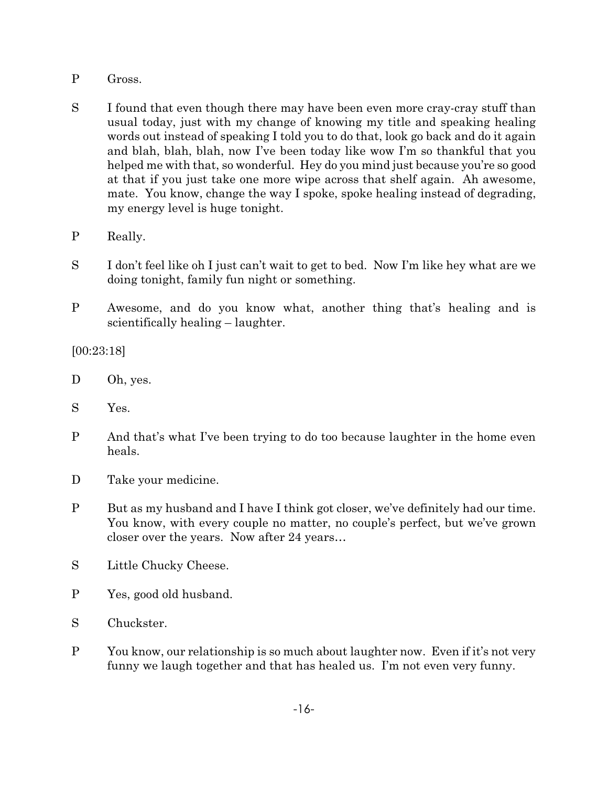- P Gross.
- S I found that even though there may have been even more cray-cray stuff than usual today, just with my change of knowing my title and speaking healing words out instead of speaking I told you to do that, look go back and do it again and blah, blah, blah, now I've been today like wow I'm so thankful that you helped me with that, so wonderful. Hey do you mind just because you're so good at that if you just take one more wipe across that shelf again. Ah awesome, mate. You know, change the way I spoke, spoke healing instead of degrading, my energy level is huge tonight.
- P Really.
- S I don't feel like oh I just can't wait to get to bed. Now I'm like hey what are we doing tonight, family fun night or something.
- P Awesome, and do you know what, another thing that's healing and is scientifically healing – laughter.

[00:23:18]

- D Oh, yes.
- S Yes.
- P And that's what I've been trying to do too because laughter in the home even heals.
- D Take your medicine.
- P But as my husband and I have I think got closer, we've definitely had our time. You know, with every couple no matter, no couple's perfect, but we've grown closer over the years. Now after 24 years…
- S Little Chucky Cheese.
- P Yes, good old husband.
- S Chuckster.
- P You know, our relationship is so much about laughter now. Even if it's not very funny we laugh together and that has healed us. I'm not even very funny.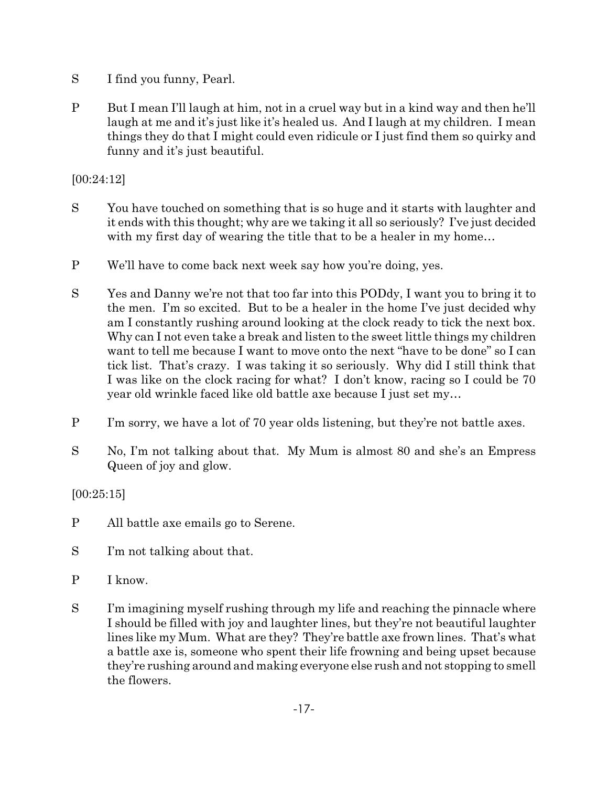- S I find you funny, Pearl.
- P But I mean I'll laugh at him, not in a cruel way but in a kind way and then he'll laugh at me and it's just like it's healed us. And I laugh at my children. I mean things they do that I might could even ridicule or I just find them so quirky and funny and it's just beautiful.

[00:24:12]

- S You have touched on something that is so huge and it starts with laughter and it ends with this thought; why are we taking it all so seriously? I've just decided with my first day of wearing the title that to be a healer in my home...
- P We'll have to come back next week say how you're doing, yes.
- S Yes and Danny we're not that too far into this PODdy, I want you to bring it to the men. I'm so excited. But to be a healer in the home I've just decided why am I constantly rushing around looking at the clock ready to tick the next box. Why can I not even take a break and listen to the sweet little things my children want to tell me because I want to move onto the next "have to be done" so I can tick list. That's crazy. I was taking it so seriously. Why did I still think that I was like on the clock racing for what? I don't know, racing so I could be 70 year old wrinkle faced like old battle axe because I just set my…
- P I'm sorry, we have a lot of 70 year olds listening, but they're not battle axes.
- S No, I'm not talking about that. My Mum is almost 80 and she's an Empress Queen of joy and glow.

[00:25:15]

- P All battle axe emails go to Serene.
- S I'm not talking about that.
- P I know.
- S I'm imagining myself rushing through my life and reaching the pinnacle where I should be filled with joy and laughter lines, but they're not beautiful laughter lines like my Mum. What are they? They're battle axe frown lines. That's what a battle axe is, someone who spent their life frowning and being upset because they're rushing around and making everyone else rush and not stopping to smell the flowers.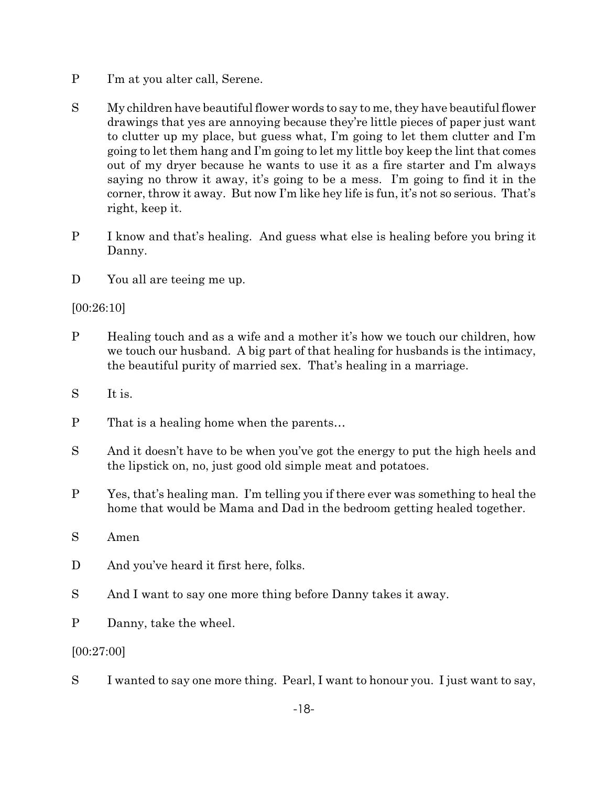- P I'm at you alter call, Serene.
- S My children have beautiful flower words to say to me, they have beautiful flower drawings that yes are annoying because they're little pieces of paper just want to clutter up my place, but guess what, I'm going to let them clutter and I'm going to let them hang and I'm going to let my little boy keep the lint that comes out of my dryer because he wants to use it as a fire starter and I'm always saying no throw it away, it's going to be a mess. I'm going to find it in the corner, throw it away. But now I'm like hey life is fun, it's not so serious. That's right, keep it.
- P I know and that's healing. And guess what else is healing before you bring it Danny.
- D You all are teeing me up.

# [00:26:10]

- P Healing touch and as a wife and a mother it's how we touch our children, how we touch our husband. A big part of that healing for husbands is the intimacy, the beautiful purity of married sex. That's healing in a marriage.
- S It is.
- P That is a healing home when the parents…
- S And it doesn't have to be when you've got the energy to put the high heels and the lipstick on, no, just good old simple meat and potatoes.
- P Yes, that's healing man. I'm telling you if there ever was something to heal the home that would be Mama and Dad in the bedroom getting healed together.
- S Amen
- D And you've heard it first here, folks.
- S And I want to say one more thing before Danny takes it away.
- P Danny, take the wheel.

## [00:27:00]

S I wanted to say one more thing. Pearl, I want to honour you. I just want to say,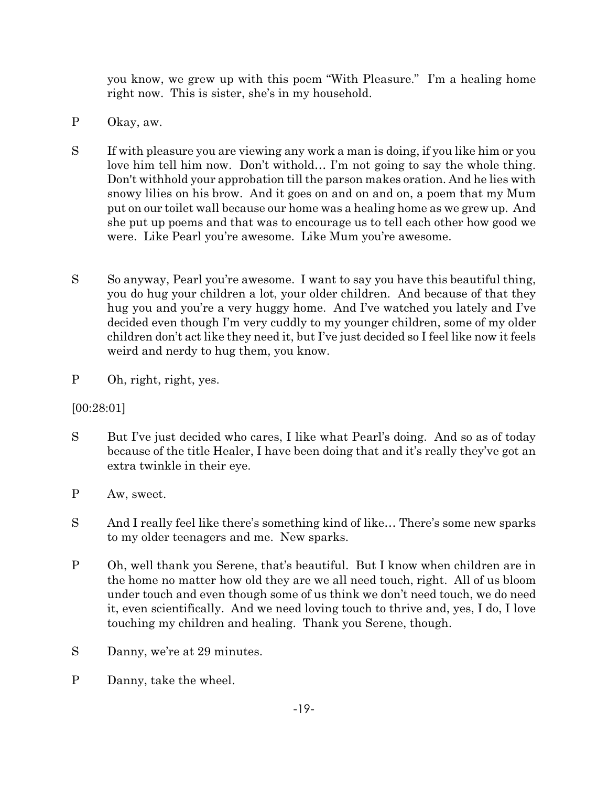you know, we grew up with this poem "With Pleasure." I'm a healing home right now. This is sister, she's in my household.

- P Okay, aw.
- S If with pleasure you are viewing any work a man is doing, if you like him or you love him tell him now. Don't withold… I'm not going to say the whole thing. Don't withhold your approbation till the parson makes oration. And he lies with snowy lilies on his brow. And it goes on and on and on, a poem that my Mum put on our toilet wall because our home was a healing home as we grew up. And she put up poems and that was to encourage us to tell each other how good we were. Like Pearl you're awesome. Like Mum you're awesome.
- S So anyway, Pearl you're awesome. I want to say you have this beautiful thing, you do hug your children a lot, your older children. And because of that they hug you and you're a very huggy home. And I've watched you lately and I've decided even though I'm very cuddly to my younger children, some of my older children don't act like they need it, but I've just decided so I feel like now it feels weird and nerdy to hug them, you know.
- P Oh, right, right, yes.

[00:28:01]

- S But I've just decided who cares, I like what Pearl's doing. And so as of today because of the title Healer, I have been doing that and it's really they've got an extra twinkle in their eye.
- P Aw, sweet.
- S And I really feel like there's something kind of like… There's some new sparks to my older teenagers and me. New sparks.
- P Oh, well thank you Serene, that's beautiful. But I know when children are in the home no matter how old they are we all need touch, right. All of us bloom under touch and even though some of us think we don't need touch, we do need it, even scientifically. And we need loving touch to thrive and, yes, I do, I love touching my children and healing. Thank you Serene, though.
- S Danny, we're at 29 minutes.
- P Danny, take the wheel.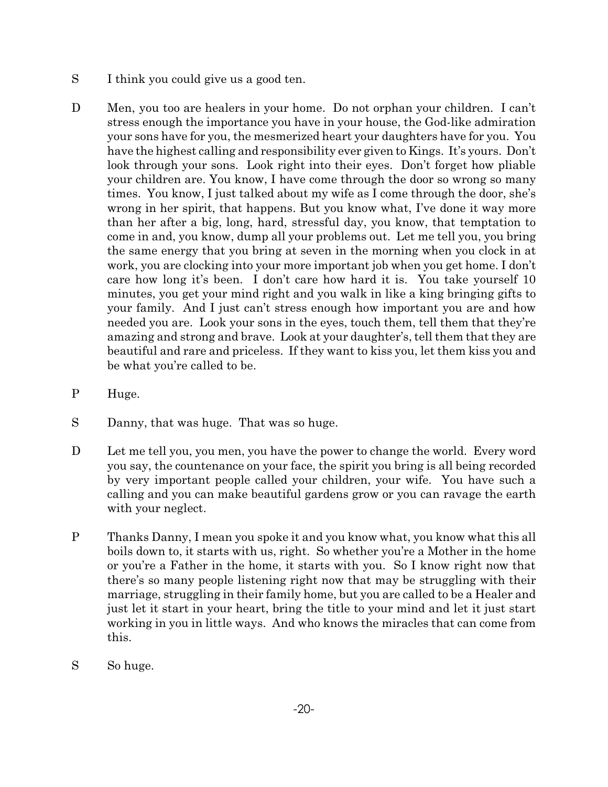- S I think you could give us a good ten.
- D Men, you too are healers in your home. Do not orphan your children. I can't stress enough the importance you have in your house, the God-like admiration your sons have for you, the mesmerized heart your daughters have for you. You have the highest calling and responsibility ever given to Kings. It's yours. Don't look through your sons. Look right into their eyes. Don't forget how pliable your children are. You know, I have come through the door so wrong so many times. You know, I just talked about my wife as I come through the door, she's wrong in her spirit, that happens. But you know what, I've done it way more than her after a big, long, hard, stressful day, you know, that temptation to come in and, you know, dump all your problems out. Let me tell you, you bring the same energy that you bring at seven in the morning when you clock in at work, you are clocking into your more important job when you get home. I don't care how long it's been. I don't care how hard it is. You take yourself 10 minutes, you get your mind right and you walk in like a king bringing gifts to your family. And I just can't stress enough how important you are and how needed you are. Look your sons in the eyes, touch them, tell them that they're amazing and strong and brave. Look at your daughter's, tell them that they are beautiful and rare and priceless. If they want to kiss you, let them kiss you and be what you're called to be.
- P Huge.
- S Danny, that was huge. That was so huge.
- D Let me tell you, you men, you have the power to change the world. Every word you say, the countenance on your face, the spirit you bring is all being recorded by very important people called your children, your wife. You have such a calling and you can make beautiful gardens grow or you can ravage the earth with your neglect.
- P Thanks Danny, I mean you spoke it and you know what, you know what this all boils down to, it starts with us, right. So whether you're a Mother in the home or you're a Father in the home, it starts with you. So I know right now that there's so many people listening right now that may be struggling with their marriage, struggling in their family home, but you are called to be a Healer and just let it start in your heart, bring the title to your mind and let it just start working in you in little ways. And who knows the miracles that can come from this.
- S So huge.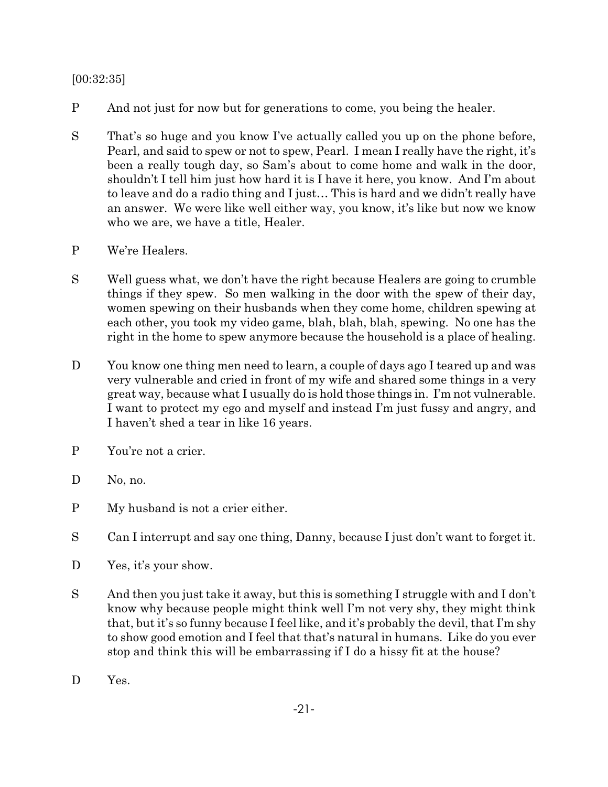## [00:32:35]

- P And not just for now but for generations to come, you being the healer.
- S That's so huge and you know I've actually called you up on the phone before, Pearl, and said to spew or not to spew, Pearl. I mean I really have the right, it's been a really tough day, so Sam's about to come home and walk in the door, shouldn't I tell him just how hard it is I have it here, you know. And I'm about to leave and do a radio thing and I just… This is hard and we didn't really have an answer. We were like well either way, you know, it's like but now we know who we are, we have a title, Healer.
- P We're Healers.
- S Well guess what, we don't have the right because Healers are going to crumble things if they spew. So men walking in the door with the spew of their day, women spewing on their husbands when they come home, children spewing at each other, you took my video game, blah, blah, blah, spewing. No one has the right in the home to spew anymore because the household is a place of healing.
- D You know one thing men need to learn, a couple of days ago I teared up and was very vulnerable and cried in front of my wife and shared some things in a very great way, because what I usually do is hold those things in. I'm not vulnerable. I want to protect my ego and myself and instead I'm just fussy and angry, and I haven't shed a tear in like 16 years.
- P You're not a crier.
- D No, no.
- P My husband is not a crier either.
- S Can I interrupt and say one thing, Danny, because I just don't want to forget it.
- D Yes, it's your show.
- S And then you just take it away, but this is something I struggle with and I don't know why because people might think well I'm not very shy, they might think that, but it's so funny because I feel like, and it's probably the devil, that I'm shy to show good emotion and I feel that that's natural in humans. Like do you ever stop and think this will be embarrassing if I do a hissy fit at the house?
- D Yes.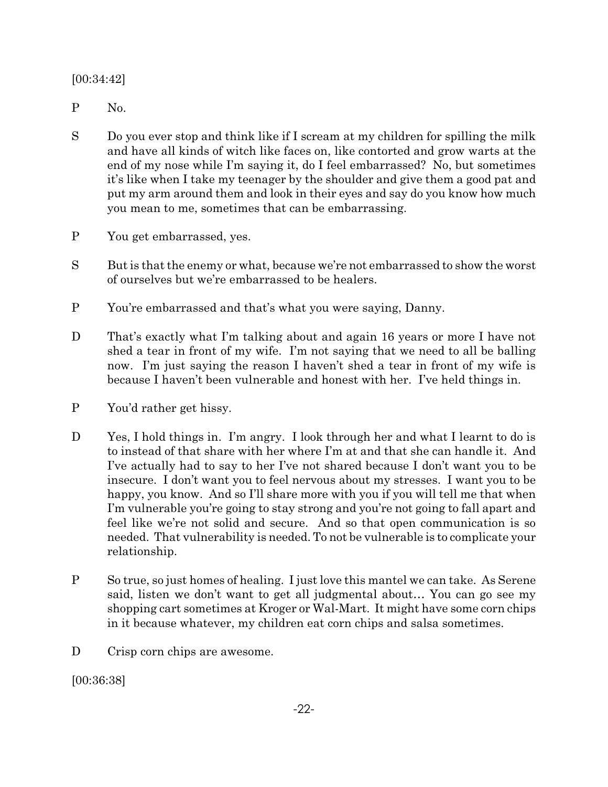[00:34:42]

- P No.
- S Do you ever stop and think like if I scream at my children for spilling the milk and have all kinds of witch like faces on, like contorted and grow warts at the end of my nose while I'm saying it, do I feel embarrassed? No, but sometimes it's like when I take my teenager by the shoulder and give them a good pat and put my arm around them and look in their eyes and say do you know how much you mean to me, sometimes that can be embarrassing.
- P You get embarrassed, yes.
- S But is that the enemy or what, because we're not embarrassed to show the worst of ourselves but we're embarrassed to be healers.
- P You're embarrassed and that's what you were saying, Danny.
- D That's exactly what I'm talking about and again 16 years or more I have not shed a tear in front of my wife. I'm not saying that we need to all be balling now. I'm just saying the reason I haven't shed a tear in front of my wife is because I haven't been vulnerable and honest with her. I've held things in.
- P You'd rather get hissy.
- D Yes, I hold things in. I'm angry. I look through her and what I learnt to do is to instead of that share with her where I'm at and that she can handle it. And I've actually had to say to her I've not shared because I don't want you to be insecure. I don't want you to feel nervous about my stresses. I want you to be happy, you know. And so I'll share more with you if you will tell me that when I'm vulnerable you're going to stay strong and you're not going to fall apart and feel like we're not solid and secure. And so that open communication is so needed. That vulnerability is needed. To not be vulnerable is to complicate your relationship.
- P So true, so just homes of healing. I just love this mantel we can take. As Serene said, listen we don't want to get all judgmental about… You can go see my shopping cart sometimes at Kroger or Wal-Mart. It might have some corn chips in it because whatever, my children eat corn chips and salsa sometimes.
- D Crisp corn chips are awesome.

[00:36:38]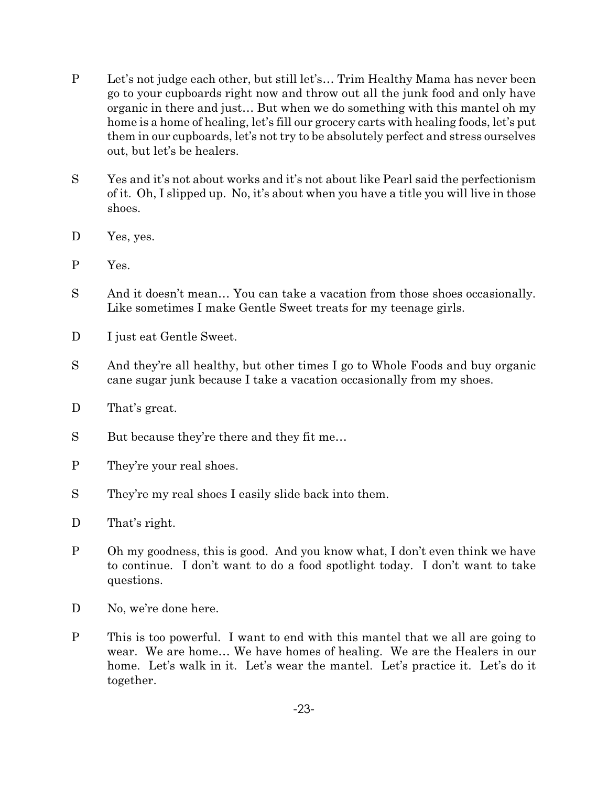- P Let's not judge each other, but still let's… Trim Healthy Mama has never been go to your cupboards right now and throw out all the junk food and only have organic in there and just… But when we do something with this mantel oh my home is a home of healing, let's fill our grocery carts with healing foods, let's put them in our cupboards, let's not try to be absolutely perfect and stress ourselves out, but let's be healers.
- S Yes and it's not about works and it's not about like Pearl said the perfectionism of it. Oh, I slipped up. No, it's about when you have a title you will live in those shoes.
- D Yes, yes.
- P Yes.
- S And it doesn't mean… You can take a vacation from those shoes occasionally. Like sometimes I make Gentle Sweet treats for my teenage girls.
- D I just eat Gentle Sweet.
- S And they're all healthy, but other times I go to Whole Foods and buy organic cane sugar junk because I take a vacation occasionally from my shoes.
- D That's great.
- S But because they're there and they fit me…
- P They're your real shoes.
- S They're my real shoes I easily slide back into them.
- D That's right.
- P Oh my goodness, this is good. And you know what, I don't even think we have to continue. I don't want to do a food spotlight today. I don't want to take questions.
- D No, we're done here.
- P This is too powerful. I want to end with this mantel that we all are going to wear. We are home… We have homes of healing. We are the Healers in our home. Let's walk in it. Let's wear the mantel. Let's practice it. Let's do it together.